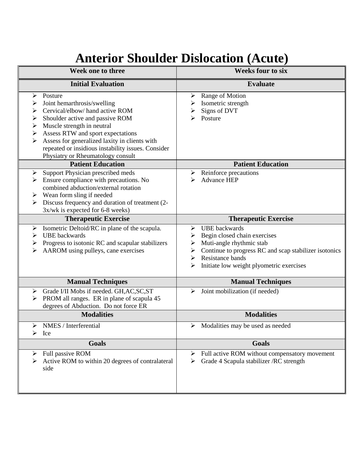## **Anterior Shoulder Dislocation (Acute)**

| Week one to three                                                                                                                                                                                                                                                                                                                                              | <b>Weeks four to six</b>                                                                                                                                                                                                                |
|----------------------------------------------------------------------------------------------------------------------------------------------------------------------------------------------------------------------------------------------------------------------------------------------------------------------------------------------------------------|-----------------------------------------------------------------------------------------------------------------------------------------------------------------------------------------------------------------------------------------|
| <b>Initial Evaluation</b>                                                                                                                                                                                                                                                                                                                                      | <b>Evaluate</b>                                                                                                                                                                                                                         |
| Posture<br>➤<br>Joint hemarthrosis/swelling<br>⋗<br>Cervical/elbow/ hand active ROM<br>➤<br>Shoulder active and passive ROM<br>➤<br>Muscle strength in neutral<br>➤<br>Assess RTW and sport expectations<br>➤<br>Assess for generalized laxity in clients with<br>➤<br>repeated or insidious instability issues. Consider<br>Physiatry or Rheumatology consult | Range of Motion<br>➤<br>Isometric strength<br>➤<br>Signs of DVT<br>Posture                                                                                                                                                              |
| <b>Patient Education</b>                                                                                                                                                                                                                                                                                                                                       | <b>Patient Education</b>                                                                                                                                                                                                                |
| Support Physician prescribed meds<br>$\blacktriangleright$<br>Ensure compliance with precautions. No<br>➤<br>combined abduction/external rotation<br>Wean form sling if needed<br>➤<br>Discuss frequency and duration of treatment (2-<br>3x/wk is expected for 6-8 weeks)                                                                                     | Reinforce precautions<br>➤<br><b>Advance HEP</b><br>⋗                                                                                                                                                                                   |
| <b>Therapeutic Exercise</b>                                                                                                                                                                                                                                                                                                                                    | <b>Therapeutic Exercise</b>                                                                                                                                                                                                             |
| Isometric Deltoid/RC in plane of the scapula.<br>➤<br><b>UBE</b> backwards<br>➤<br>Progress to isotonic RC and scapular stabilizers<br>➤<br>AAROM using pulleys, cane exercises<br>⋗                                                                                                                                                                           | <b>UBE</b> backwards<br>➤<br>Begin closed chain exercises<br>➤<br>Muti-angle rhythmic stab<br>➤<br>Continue to progress RC and scap stabilizer isotonics<br>➤<br>Resistance bands<br>➤<br>Initiate low weight plyometric exercises<br>➤ |
| <b>Manual Techniques</b>                                                                                                                                                                                                                                                                                                                                       | <b>Manual Techniques</b>                                                                                                                                                                                                                |
| Grade I/II Mobs if needed. GH, AC, SC, ST<br>➤<br>PROM all ranges. ER in plane of scapula 45<br>degrees of Abduction. Do not force ER                                                                                                                                                                                                                          | Joint mobilization (if needed)<br>➤                                                                                                                                                                                                     |
| <b>Modalities</b>                                                                                                                                                                                                                                                                                                                                              | <b>Modalities</b>                                                                                                                                                                                                                       |
| NMES / Interferential<br>$\blacktriangleright$<br>➤<br>Ice                                                                                                                                                                                                                                                                                                     | Modalities may be used as needed<br>➤                                                                                                                                                                                                   |
| <b>Goals</b>                                                                                                                                                                                                                                                                                                                                                   | <b>Goals</b>                                                                                                                                                                                                                            |
| Full passive ROM<br>➤<br>Active ROM to within 20 degrees of contralateral<br>side                                                                                                                                                                                                                                                                              | Full active ROM without compensatory movement<br>➤<br>Grade 4 Scapula stabilizer / RC strength<br>➤                                                                                                                                     |